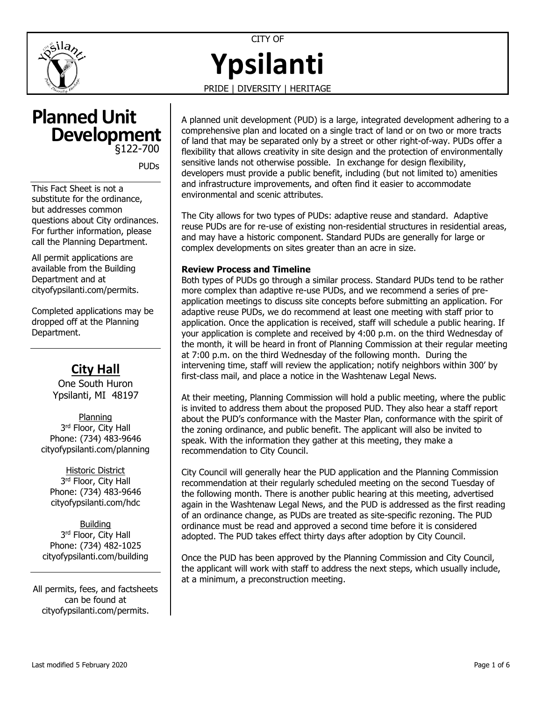

CITY OF **Ypsilanti**

PRIDE | DIVERSITY | HERITAGE

# **Planned Unit**  §122-700 **Development**

PUDs

This Fact Sheet is not a substitute for the ordinance, but addresses common questions about City ordinances. For further information, please call the Planning Department.

All permit applications are available from the Building Department and at [cityofypsilanti.com/permits.](http://www.cityofypsilanti.com/permits)

Completed applications may be dropped off at the Planning Department.

# **City Hall**

One South Huron Ypsilanti, MI 48197

Planning 3<sup>rd</sup> Floor, City Hall Phone: (734) 483-9646 [cityofypsilanti.com/planning](http://www.cityofypsilanti.com/planning)

Historic District 3<sup>rd</sup> Floor, City Hall Phone: (734) 483-9646 [cityofypsilanti.com/hdc](http://www.cityofypsilanti.com/hdc)

Building 3<sup>rd</sup> Floor, City Hall Phone: (734) 482-1025 [cityofypsilanti.com/building](http://www.cityofypsilanti.com/building)

All permits, fees, and factsheets can be found at [cityofypsilanti.com/permits.](http://www.cityofypsilanti.com/permits)

A planned unit development (PUD) is a large, integrated development adhering to a comprehensive plan and located on a single tract of land or on two or more tracts of land that may be separated only by a street or other right-of-way. PUDs offer a flexibility that allows creativity in site design and the protection of environmentally sensitive lands not otherwise possible. In exchange for design flexibility, developers must provide a public benefit, including (but not limited to) amenities and infrastructure improvements, and often find it easier to accommodate environmental and scenic attributes.

The City allows for two types of PUDs: adaptive reuse and standard. Adaptive reuse PUDs are for re-use of existing non-residential structures in residential areas, and may have a historic component. Standard PUDs are generally for large or complex developments on sites greater than an acre in size.

### **Review Process and Timeline**

Both types of PUDs go through a similar process. Standard PUDs tend to be rather more complex than adaptive re-use PUDs, and we recommend a series of preapplication meetings to discuss site concepts before submitting an application. For adaptive reuse PUDs, we do recommend at least one meeting with staff prior to application. Once the application is received, staff will schedule a public hearing. If your application is complete and received by 4:00 p.m. on the third Wednesday of the month, it will be heard in front of Planning Commission at their regular meeting at 7:00 p.m. on the third Wednesday of the following month. During the intervening time, staff will review the application; notify neighbors within 300' by first-class mail, and place a notice in the Washtenaw Legal News.

At their meeting, Planning Commission will hold a public meeting, where the public is invited to address them about the proposed PUD. They also hear a staff report about the PUD's conformance with the Master Plan, conformance with the spirit of the zoning ordinance, and public benefit. The applicant will also be invited to speak. With the information they gather at this meeting, they make a recommendation to City Council.

City Council will generally hear the PUD application and the Planning Commission recommendation at their regularly scheduled meeting on the second Tuesday of the following month. There is another public hearing at this meeting, advertised again in the Washtenaw Legal News, and the PUD is addressed as the first reading of an ordinance change, as PUDs are treated as site-specific rezoning. The PUD ordinance must be read and approved a second time before it is considered adopted. The PUD takes effect thirty days after adoption by City Council.

Once the PUD has been approved by the Planning Commission and City Council, the applicant will work with staff to address the next steps, which usually include, at a minimum, a preconstruction meeting.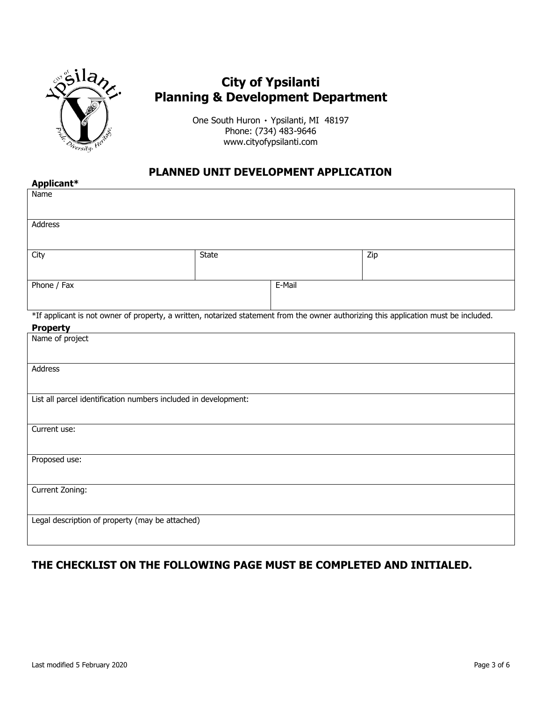

# **City of Ypsilanti Planning & Development Department**

One South Huron ۰ Ypsilanti, MI 48197 Phone: (734) 483-9646 www.cityofypsilanti.com

## **PLANNED UNIT DEVELOPMENT APPLICATION**

| Applicant*                                                                                                                                              |              |        |     |  |  |
|---------------------------------------------------------------------------------------------------------------------------------------------------------|--------------|--------|-----|--|--|
| Name                                                                                                                                                    |              |        |     |  |  |
| Address                                                                                                                                                 |              |        |     |  |  |
| City                                                                                                                                                    | <b>State</b> |        | Zip |  |  |
| Phone / Fax                                                                                                                                             |              | E-Mail |     |  |  |
| *If applicant is not owner of property, a written, notarized statement from the owner authorizing this application must be included.<br><b>Property</b> |              |        |     |  |  |
| Name of project                                                                                                                                         |              |        |     |  |  |
| Address                                                                                                                                                 |              |        |     |  |  |
| List all parcel identification numbers included in development:                                                                                         |              |        |     |  |  |
| Current use:                                                                                                                                            |              |        |     |  |  |
| Proposed use:                                                                                                                                           |              |        |     |  |  |
| Current Zoning:                                                                                                                                         |              |        |     |  |  |
| Legal description of property (may be attached)                                                                                                         |              |        |     |  |  |

### **THE CHECKLIST ON THE FOLLOWING PAGE MUST BE COMPLETED AND INITIALED.**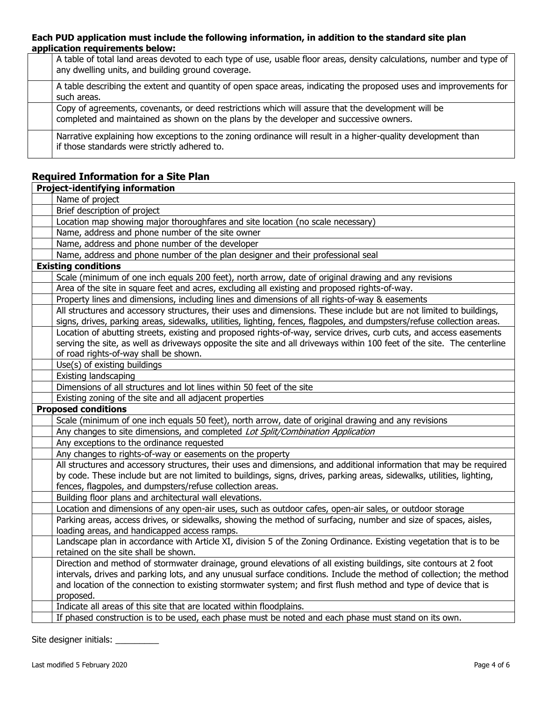#### **Each PUD application must include the following information, in addition to the standard site plan application requirements below:**

| A table of total land areas devoted to each type of use, usable floor areas, density calculations, number and type of<br>any dwelling units, and building ground coverage.                   |
|----------------------------------------------------------------------------------------------------------------------------------------------------------------------------------------------|
| A table describing the extent and quantity of open space areas, indicating the proposed uses and improvements for<br>such areas.                                                             |
| Copy of agreements, covenants, or deed restrictions which will assure that the development will be<br>completed and maintained as shown on the plans by the developer and successive owners. |
| Narrative explaining how exceptions to the zoning ordinance will result in a higher-quality development than<br>if those standards were strictly adhered to.                                 |

## **Required Information for a Site Plan**

| <b>Project-identifying information</b>                                                                                                                                       |
|------------------------------------------------------------------------------------------------------------------------------------------------------------------------------|
| Name of project                                                                                                                                                              |
| Brief description of project                                                                                                                                                 |
| Location map showing major thoroughfares and site location (no scale necessary)                                                                                              |
| Name, address and phone number of the site owner                                                                                                                             |
| Name, address and phone number of the developer                                                                                                                              |
| Name, address and phone number of the plan designer and their professional seal                                                                                              |
| <b>Existing conditions</b>                                                                                                                                                   |
| Scale (minimum of one inch equals 200 feet), north arrow, date of original drawing and any revisions                                                                         |
| Area of the site in square feet and acres, excluding all existing and proposed rights-of-way.                                                                                |
| Property lines and dimensions, including lines and dimensions of all rights-of-way & easements                                                                               |
| All structures and accessory structures, their uses and dimensions. These include but are not limited to buildings,                                                          |
| signs, drives, parking areas, sidewalks, utilities, lighting, fences, flagpoles, and dumpsters/refuse collection areas.                                                      |
| Location of abutting streets, existing and proposed rights-of-way, service drives, curb cuts, and access easements                                                           |
| serving the site, as well as driveways opposite the site and all driveways within 100 feet of the site. The centerline                                                       |
| of road rights-of-way shall be shown.                                                                                                                                        |
| Use(s) of existing buildings                                                                                                                                                 |
| Existing landscaping                                                                                                                                                         |
| Dimensions of all structures and lot lines within 50 feet of the site                                                                                                        |
| Existing zoning of the site and all adjacent properties                                                                                                                      |
| <b>Proposed conditions</b>                                                                                                                                                   |
| Scale (minimum of one inch equals 50 feet), north arrow, date of original drawing and any revisions                                                                          |
| Any changes to site dimensions, and completed Lot Split/Combination Application                                                                                              |
| Any exceptions to the ordinance requested                                                                                                                                    |
| Any changes to rights-of-way or easements on the property                                                                                                                    |
| All structures and accessory structures, their uses and dimensions, and additional information that may be required                                                          |
| by code. These include but are not limited to buildings, signs, drives, parking areas, sidewalks, utilities, lighting,                                                       |
| fences, flagpoles, and dumpsters/refuse collection areas.                                                                                                                    |
| Building floor plans and architectural wall elevations.                                                                                                                      |
| Location and dimensions of any open-air uses, such as outdoor cafes, open-air sales, or outdoor storage                                                                      |
| Parking areas, access drives, or sidewalks, showing the method of surfacing, number and size of spaces, aisles,                                                              |
| loading areas, and handicapped access ramps.                                                                                                                                 |
| Landscape plan in accordance with Article XI, division 5 of the Zoning Ordinance. Existing vegetation that is to be                                                          |
| retained on the site shall be shown.                                                                                                                                         |
| Direction and method of stormwater drainage, ground elevations of all existing buildings, site contours at 2 foot                                                            |
| intervals, drives and parking lots, and any unusual surface conditions. Include the method of collection; the method                                                         |
|                                                                                                                                                                              |
| and location of the connection to existing stormwater system; and first flush method and type of device that is                                                              |
| proposed.                                                                                                                                                                    |
| Indicate all areas of this site that are located within floodplains.<br>If phased construction is to be used, each phase must be noted and each phase must stand on its own. |

Site designer initials: \_\_\_\_\_\_\_\_\_\_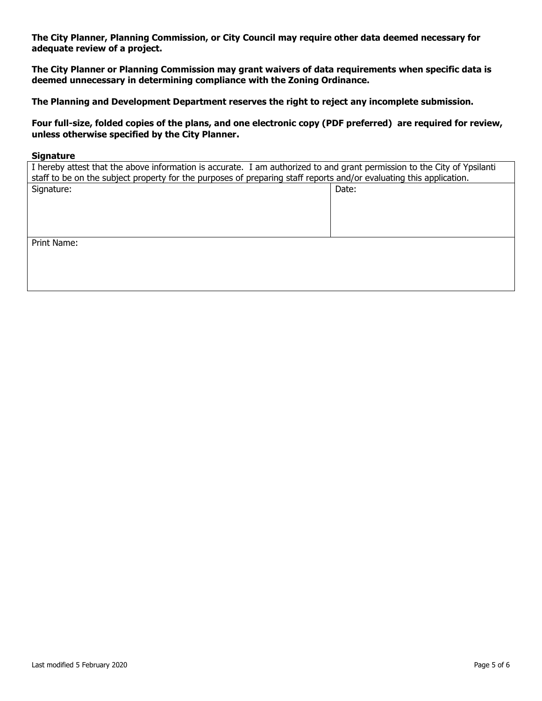**The City Planner, Planning Commission, or City Council may require other data deemed necessary for adequate review of a project.**

**The City Planner or Planning Commission may grant waivers of data requirements when specific data is deemed unnecessary in determining compliance with the Zoning Ordinance.**

**The Planning and Development Department reserves the right to reject any incomplete submission.**

**Four full-size, folded copies of the plans, and one electronic copy (PDF preferred) are required for review, unless otherwise specified by the City Planner.**

#### **Signature**

| I hereby attest that the above information is accurate. I am authorized to and grant permission to the City of Ypsilanti |       |  |  |  |  |
|--------------------------------------------------------------------------------------------------------------------------|-------|--|--|--|--|
| staff to be on the subject property for the purposes of preparing staff reports and/or evaluating this application.      |       |  |  |  |  |
| Signature:                                                                                                               | Date: |  |  |  |  |
|                                                                                                                          |       |  |  |  |  |
|                                                                                                                          |       |  |  |  |  |
|                                                                                                                          |       |  |  |  |  |
|                                                                                                                          |       |  |  |  |  |
| Print Name:                                                                                                              |       |  |  |  |  |
|                                                                                                                          |       |  |  |  |  |
|                                                                                                                          |       |  |  |  |  |
|                                                                                                                          |       |  |  |  |  |
|                                                                                                                          |       |  |  |  |  |